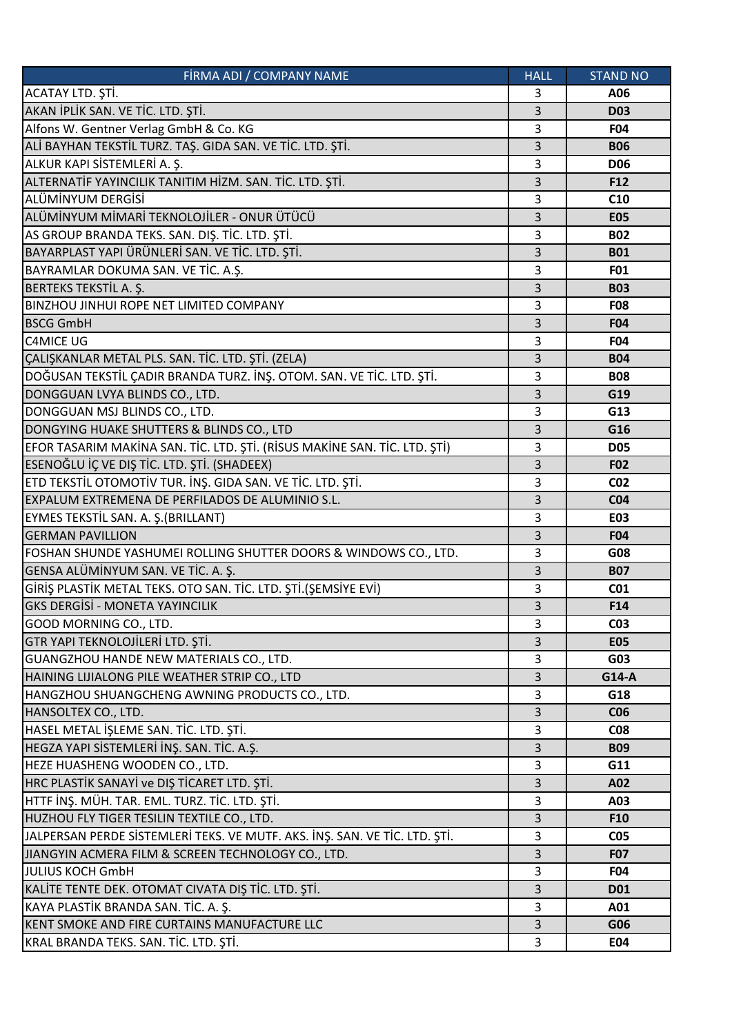| FİRMA ADI / COMPANY NAME                                                   | <b>HALL</b> | <b>STAND NO</b> |
|----------------------------------------------------------------------------|-------------|-----------------|
| ACATAY LTD. ŞTİ.                                                           | 3           | A06             |
| AKAN İPLİK SAN. VE TİC. LTD. ŞTİ.                                          | 3           | <b>D03</b>      |
| Alfons W. Gentner Verlag GmbH & Co. KG                                     | 3           | <b>F04</b>      |
| ALİ BAYHAN TEKSTİL TURZ. TAŞ. GIDA SAN. VE TİC. LTD. ŞTİ.                  | 3           | <b>B06</b>      |
| ALKUR KAPI SİSTEMLERİ A. Ş.                                                | 3           | <b>D06</b>      |
| ALTERNATİF YAYINCILIK TANITIM HİZM. SAN. TİC. LTD. ŞTİ.                    | 3           | F12             |
| ALÜMİNYUM DERGİSİ                                                          | 3           | C10             |
| ALÜMİNYUM MİMARİ TEKNOLOJİLER - ONUR ÜTÜCÜ                                 | 3           | <b>E05</b>      |
| AS GROUP BRANDA TEKS. SAN. DIŞ. TİC. LTD. ŞTİ.                             | 3           | <b>B02</b>      |
| BAYARPLAST YAPI ÜRÜNLERİ SAN. VE TİC. LTD. ŞTİ.                            | 3           | <b>B01</b>      |
| BAYRAMLAR DOKUMA SAN. VE TİC. A.Ş.                                         | 3           | <b>F01</b>      |
| <b>BERTEKS TEKSTİL A. Ş.</b>                                               | 3           | <b>B03</b>      |
| BINZHOU JINHUI ROPE NET LIMITED COMPANY                                    | 3           | <b>F08</b>      |
| <b>BSCG GmbH</b>                                                           | 3           | <b>F04</b>      |
| <b>C4MICE UG</b>                                                           | 3           | <b>F04</b>      |
| ÇALIŞKANLAR METAL PLS. SAN. TİC. LTD. ŞTİ. (ZELA)                          | 3           | <b>B04</b>      |
| DOĞUSAN TEKSTİL ÇADIR BRANDA TURZ. İNŞ. OTOM. SAN. VE TİC. LTD. ŞTİ.       | 3           | <b>B08</b>      |
| DONGGUAN LVYA BLINDS CO., LTD.                                             | 3           | G19             |
| DONGGUAN MSJ BLINDS CO., LTD.                                              | 3           | G13             |
| DONGYING HUAKE SHUTTERS & BLINDS CO., LTD                                  | 3           | G16             |
| EFOR TASARIM MAKİNA SAN. TİC. LTD. ŞTİ. (RİSUS MAKİNE SAN. TİC. LTD. ŞTİ)  | 3           | <b>D05</b>      |
| ESENOĞLU İÇ VE DIŞ TİC. LTD. ŞTİ. (SHADEEX)                                | 3           | <b>F02</b>      |
| ETD TEKSTİL OTOMOTİV TUR. İNŞ. GIDA SAN. VE TİC. LTD. ŞTİ.                 | 3           | CO <sub>2</sub> |
| EXPALUM EXTREMENA DE PERFILADOS DE ALUMINIO S.L.                           | 3           | CO <sub>4</sub> |
| EYMES TEKSTİL SAN. A. Ş.(BRILLANT)                                         | 3           | <b>E03</b>      |
| <b>GERMAN PAVILLION</b>                                                    | 3           | <b>F04</b>      |
| FOSHAN SHUNDE YASHUMEI ROLLING SHUTTER DOORS & WINDOWS CO., LTD.           | 3           | G08             |
| GENSA ALÜMİNYUM SAN. VE TİC. A. Ş.                                         | 3           | <b>B07</b>      |
| GİRİŞ PLASTİK METAL TEKS. OTO SAN. TİC. LTD. ŞTİ.(ŞEMSİYE EVİ)             | 3           | CO <sub>1</sub> |
| <b>GKS DERGISI - MONETA YAYINCILIK</b>                                     | 3           | F14             |
| GOOD MORNING CO., LTD.                                                     | 3           | <b>CO3</b>      |
| GTR YAPI TEKNOLOJİLERİ LTD. ŞTİ.                                           | 3           | <b>E05</b>      |
| GUANGZHOU HANDE NEW MATERIALS CO., LTD.                                    | 3           | G03             |
| HAINING LIJIALONG PILE WEATHER STRIP CO., LTD                              | 3           | G14-A           |
| HANGZHOU SHUANGCHENG AWNING PRODUCTS CO., LTD.                             | 3           | G18             |
| HANSOLTEX CO., LTD.                                                        | 3           | C <sub>06</sub> |
| HASEL METAL İŞLEME SAN. TİC. LTD. ŞTİ.                                     | 3           | <b>CO8</b>      |
| HEGZA YAPI SİSTEMLERİ İNŞ. SAN. TİC. A.Ş.                                  | 3           | <b>B09</b>      |
|                                                                            |             |                 |
| HEZE HUASHENG WOODEN CO., LTD.                                             | 3           | G11             |
| HRC PLASTİK SANAYİ ve DIŞ TİCARET LTD. ŞTİ.                                | 3           | A02             |
| HTTF İNŞ. MÜH. TAR. EML. TURZ. TİC. LTD. ŞTİ.                              | 3           | A03             |
| HUZHOU FLY TIGER TESILIN TEXTILE CO., LTD.                                 | 3           | <b>F10</b>      |
| JALPERSAN PERDE SİSTEMLERİ TEKS. VE MUTF. AKS. İNŞ. SAN. VE TİC. LTD. ŞTİ. | 3           | CO <sub>5</sub> |
| JIANGYIN ACMERA FILM & SCREEN TECHNOLOGY CO., LTD.                         | 3           | <b>F07</b>      |
| <b>JULIUS KOCH GmbH</b>                                                    | 3           | <b>F04</b>      |
| KALİTE TENTE DEK. OTOMAT CIVATA DIŞ TİC. LTD. ŞTİ.                         | 3           | <b>D01</b>      |
| KAYA PLASTİK BRANDA SAN. TİC. A. Ş.                                        | 3           | A01             |
| KENT SMOKE AND FIRE CURTAINS MANUFACTURE LLC                               | 3           | G06             |
| KRAL BRANDA TEKS. SAN. TİC. LTD. ŞTİ.                                      | 3           | E04             |